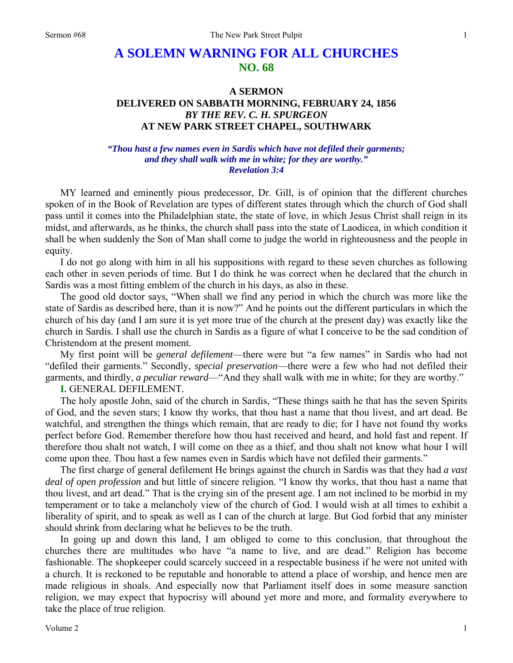# **A SOLEMN WARNING FOR ALL CHURCHES NO. 68**

## **A SERMON DELIVERED ON SABBATH MORNING, FEBRUARY 24, 1856**  *BY THE REV. C. H. SPURGEON*  **AT NEW PARK STREET CHAPEL, SOUTHWARK**

#### *"Thou hast a few names even in Sardis which have not defiled their garments; and they shall walk with me in white; for they are worthy." Revelation 3:4*

MY learned and eminently pious predecessor, Dr. Gill, is of opinion that the different churches spoken of in the Book of Revelation are types of different states through which the church of God shall pass until it comes into the Philadelphian state, the state of love, in which Jesus Christ shall reign in its midst, and afterwards, as he thinks, the church shall pass into the state of Laodicea, in which condition it shall be when suddenly the Son of Man shall come to judge the world in righteousness and the people in equity.

I do not go along with him in all his suppositions with regard to these seven churches as following each other in seven periods of time. But I do think he was correct when he declared that the church in Sardis was a most fitting emblem of the church in his days, as also in these.

The good old doctor says, "When shall we find any period in which the church was more like the state of Sardis as described here, than it is now?" And he points out the different particulars in which the church of his day (and I am sure it is yet more true of the church at the present day) was exactly like the church in Sardis. I shall use the church in Sardis as a figure of what I conceive to be the sad condition of Christendom at the present moment.

My first point will be *general defilement*—there were but "a few names" in Sardis who had not "defiled their garments." Secondly, *special preservation*—there were a few who had not defiled their garments, and thirdly, *a peculiar reward*—"And they shall walk with me in white; for they are worthy."

## **I.** GENERAL DEFILEMENT.

The holy apostle John, said of the church in Sardis, "These things saith he that has the seven Spirits of God, and the seven stars; I know thy works, that thou hast a name that thou livest, and art dead. Be watchful, and strengthen the things which remain, that are ready to die; for I have not found thy works perfect before God. Remember therefore how thou hast received and heard, and hold fast and repent. If therefore thou shalt not watch, I will come on thee as a thief, and thou shalt not know what hour I will come upon thee. Thou hast a few names even in Sardis which have not defiled their garments."

The first charge of general defilement He brings against the church in Sardis was that they had *a vast deal of open profession* and but little of sincere religion. "I know thy works, that thou hast a name that thou livest, and art dead." That is the crying sin of the present age. I am not inclined to be morbid in my temperament or to take a melancholy view of the church of God. I would wish at all times to exhibit a liberality of spirit, and to speak as well as I can of the church at large. But God forbid that any minister should shrink from declaring what he believes to be the truth.

In going up and down this land, I am obliged to come to this conclusion, that throughout the churches there are multitudes who have "a name to live, and are dead." Religion has become fashionable. The shopkeeper could scarcely succeed in a respectable business if he were not united with a church. It is reckoned to be reputable and honorable to attend a place of worship, and hence men are made religious in shoals. And especially now that Parliament itself does in some measure sanction religion, we may expect that hypocrisy will abound yet more and more, and formality everywhere to take the place of true religion.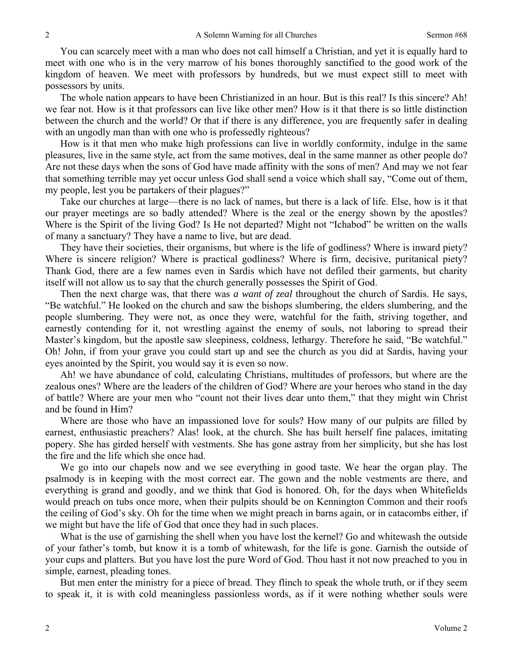You can scarcely meet with a man who does not call himself a Christian, and yet it is equally hard to meet with one who is in the very marrow of his bones thoroughly sanctified to the good work of the kingdom of heaven. We meet with professors by hundreds, but we must expect still to meet with possessors by units.

The whole nation appears to have been Christianized in an hour. But is this real? Is this sincere? Ah! we fear not. How is it that professors can live like other men? How is it that there is so little distinction between the church and the world? Or that if there is any difference, you are frequently safer in dealing with an ungodly man than with one who is professedly righteous?

How is it that men who make high professions can live in worldly conformity, indulge in the same pleasures, live in the same style, act from the same motives, deal in the same manner as other people do? Are not these days when the sons of God have made affinity with the sons of men? And may we not fear that something terrible may yet occur unless God shall send a voice which shall say, "Come out of them, my people, lest you be partakers of their plagues?"

Take our churches at large—there is no lack of names, but there is a lack of life. Else, how is it that our prayer meetings are so badly attended? Where is the zeal or the energy shown by the apostles? Where is the Spirit of the living God? Is He not departed? Might not "Ichabod" be written on the walls of many a sanctuary? They have a name to live, but are dead.

They have their societies, their organisms, but where is the life of godliness? Where is inward piety? Where is sincere religion? Where is practical godliness? Where is firm, decisive, puritanical piety? Thank God, there are a few names even in Sardis which have not defiled their garments, but charity itself will not allow us to say that the church generally possesses the Spirit of God.

Then the next charge was, that there was *a want of zeal* throughout the church of Sardis. He says, "Be watchful." He looked on the church and saw the bishops slumbering, the elders slumbering, and the people slumbering. They were not, as once they were, watchful for the faith, striving together, and earnestly contending for it, not wrestling against the enemy of souls, not laboring to spread their Master's kingdom, but the apostle saw sleepiness, coldness, lethargy. Therefore he said, "Be watchful." Oh! John, if from your grave you could start up and see the church as you did at Sardis, having your eyes anointed by the Spirit, you would say it is even so now.

Ah! we have abundance of cold, calculating Christians, multitudes of professors, but where are the zealous ones? Where are the leaders of the children of God? Where are your heroes who stand in the day of battle? Where are your men who "count not their lives dear unto them," that they might win Christ and be found in Him?

Where are those who have an impassioned love for souls? How many of our pulpits are filled by earnest, enthusiastic preachers? Alas! look, at the church. She has built herself fine palaces, imitating popery. She has girded herself with vestments. She has gone astray from her simplicity, but she has lost the fire and the life which she once had.

We go into our chapels now and we see everything in good taste. We hear the organ play. The psalmody is in keeping with the most correct ear. The gown and the noble vestments are there, and everything is grand and goodly, and we think that God is honored. Oh, for the days when Whitefields would preach on tubs once more, when their pulpits should be on Kennington Common and their roofs the ceiling of God's sky. Oh for the time when we might preach in barns again, or in catacombs either, if we might but have the life of God that once they had in such places.

What is the use of garnishing the shell when you have lost the kernel? Go and whitewash the outside of your father's tomb, but know it is a tomb of whitewash, for the life is gone. Garnish the outside of your cups and platters. But you have lost the pure Word of God. Thou hast it not now preached to you in simple, earnest, pleading tones.

But men enter the ministry for a piece of bread. They flinch to speak the whole truth, or if they seem to speak it, it is with cold meaningless passionless words, as if it were nothing whether souls were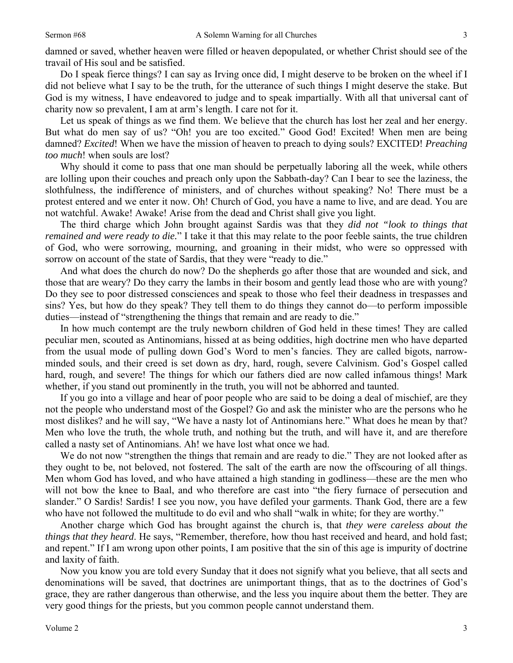damned or saved, whether heaven were filled or heaven depopulated, or whether Christ should see of the travail of His soul and be satisfied.

Do I speak fierce things? I can say as Irving once did, I might deserve to be broken on the wheel if I did not believe what I say to be the truth, for the utterance of such things I might deserve the stake. But God is my witness, I have endeavored to judge and to speak impartially. With all that universal cant of charity now so prevalent, I am at arm's length. I care not for it.

Let us speak of things as we find them. We believe that the church has lost her zeal and her energy. But what do men say of us? "Oh! you are too excited." Good God! Excited! When men are being damned? *Excited*! When we have the mission of heaven to preach to dying souls? EXCITED! *Preaching too much*! when souls are lost?

Why should it come to pass that one man should be perpetually laboring all the week, while others are lolling upon their couches and preach only upon the Sabbath-day? Can I bear to see the laziness, the slothfulness, the indifference of ministers, and of churches without speaking? No! There must be a protest entered and we enter it now. Oh! Church of God, you have a name to live, and are dead. You are not watchful. Awake! Awake! Arise from the dead and Christ shall give you light.

The third charge which John brought against Sardis was that they *did not "look to things that remained and were ready to die.*" I take it that this may relate to the poor feeble saints, the true children of God, who were sorrowing, mourning, and groaning in their midst, who were so oppressed with sorrow on account of the state of Sardis, that they were "ready to die."

And what does the church do now? Do the shepherds go after those that are wounded and sick, and those that are weary? Do they carry the lambs in their bosom and gently lead those who are with young? Do they see to poor distressed consciences and speak to those who feel their deadness in trespasses and sins? Yes, but how do they speak? They tell them to do things they cannot do—to perform impossible duties—instead of "strengthening the things that remain and are ready to die."

In how much contempt are the truly newborn children of God held in these times! They are called peculiar men, scouted as Antinomians, hissed at as being oddities, high doctrine men who have departed from the usual mode of pulling down God's Word to men's fancies. They are called bigots, narrowminded souls, and their creed is set down as dry, hard, rough, severe Calvinism. God's Gospel called hard, rough, and severe! The things for which our fathers died are now called infamous things! Mark whether, if you stand out prominently in the truth, you will not be abhorred and taunted.

If you go into a village and hear of poor people who are said to be doing a deal of mischief, are they not the people who understand most of the Gospel? Go and ask the minister who are the persons who he most dislikes? and he will say, "We have a nasty lot of Antinomians here." What does he mean by that? Men who love the truth, the whole truth, and nothing but the truth, and will have it, and are therefore called a nasty set of Antinomians. Ah! we have lost what once we had.

We do not now "strengthen the things that remain and are ready to die." They are not looked after as they ought to be, not beloved, not fostered. The salt of the earth are now the offscouring of all things. Men whom God has loved, and who have attained a high standing in godliness—these are the men who will not bow the knee to Baal, and who therefore are cast into "the fiery furnace of persecution and slander." O Sardis! Sardis! I see you now, you have defiled your garments. Thank God, there are a few who have not followed the multitude to do evil and who shall "walk in white; for they are worthy."

Another charge which God has brought against the church is, that *they were careless about the things that they heard*. He says, "Remember, therefore, how thou hast received and heard, and hold fast; and repent." If I am wrong upon other points, I am positive that the sin of this age is impurity of doctrine and laxity of faith.

Now you know you are told every Sunday that it does not signify what you believe, that all sects and denominations will be saved, that doctrines are unimportant things, that as to the doctrines of God's grace, they are rather dangerous than otherwise, and the less you inquire about them the better. They are very good things for the priests, but you common people cannot understand them.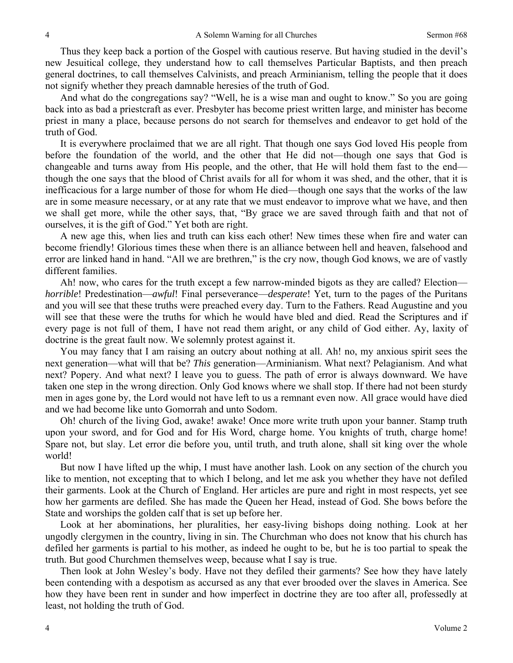Thus they keep back a portion of the Gospel with cautious reserve. But having studied in the devil's new Jesuitical college, they understand how to call themselves Particular Baptists, and then preach general doctrines, to call themselves Calvinists, and preach Arminianism, telling the people that it does not signify whether they preach damnable heresies of the truth of God.

And what do the congregations say? "Well, he is a wise man and ought to know." So you are going back into as bad a priestcraft as ever. Presbyter has become priest written large, and minister has become priest in many a place, because persons do not search for themselves and endeavor to get hold of the truth of God.

It is everywhere proclaimed that we are all right. That though one says God loved His people from before the foundation of the world, and the other that He did not—though one says that God is changeable and turns away from His people, and the other, that He will hold them fast to the end though the one says that the blood of Christ avails for all for whom it was shed, and the other, that it is inefficacious for a large number of those for whom He died—though one says that the works of the law are in some measure necessary, or at any rate that we must endeavor to improve what we have, and then we shall get more, while the other says, that, "By grace we are saved through faith and that not of ourselves, it is the gift of God." Yet both are right.

A new age this, when lies and truth can kiss each other! New times these when fire and water can become friendly! Glorious times these when there is an alliance between hell and heaven, falsehood and error are linked hand in hand. "All we are brethren," is the cry now, though God knows, we are of vastly different families.

Ah! now, who cares for the truth except a few narrow-minded bigots as they are called? Election *horrible*! Predestination—*awful*! Final perseverance—*desperate*! Yet, turn to the pages of the Puritans and you will see that these truths were preached every day. Turn to the Fathers. Read Augustine and you will see that these were the truths for which he would have bled and died. Read the Scriptures and if every page is not full of them, I have not read them aright, or any child of God either. Ay, laxity of doctrine is the great fault now. We solemnly protest against it.

You may fancy that I am raising an outcry about nothing at all. Ah! no, my anxious spirit sees the next generation—what will that be? *This* generation—Arminianism. What next? Pelagianism. And what next? Popery. And what next? I leave you to guess. The path of error is always downward. We have taken one step in the wrong direction. Only God knows where we shall stop. If there had not been sturdy men in ages gone by, the Lord would not have left to us a remnant even now. All grace would have died and we had become like unto Gomorrah and unto Sodom.

Oh! church of the living God, awake! awake! Once more write truth upon your banner. Stamp truth upon your sword, and for God and for His Word, charge home. You knights of truth, charge home! Spare not, but slay. Let error die before you, until truth, and truth alone, shall sit king over the whole world!

But now I have lifted up the whip, I must have another lash. Look on any section of the church you like to mention, not excepting that to which I belong, and let me ask you whether they have not defiled their garments. Look at the Church of England. Her articles are pure and right in most respects, yet see how her garments are defiled. She has made the Queen her Head, instead of God. She bows before the State and worships the golden calf that is set up before her.

Look at her abominations, her pluralities, her easy-living bishops doing nothing. Look at her ungodly clergymen in the country, living in sin. The Churchman who does not know that his church has defiled her garments is partial to his mother, as indeed he ought to be, but he is too partial to speak the truth. But good Churchmen themselves weep, because what I say is true.

Then look at John Wesley's body. Have not they defiled their garments? See how they have lately been contending with a despotism as accursed as any that ever brooded over the slaves in America. See how they have been rent in sunder and how imperfect in doctrine they are too after all, professedly at least, not holding the truth of God.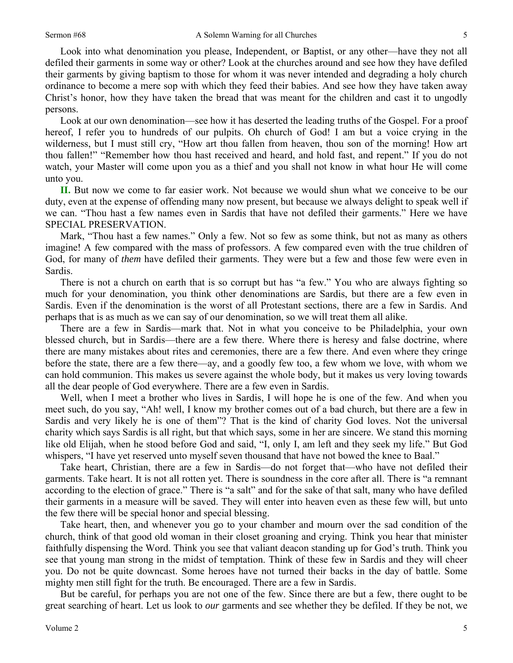Look into what denomination you please, Independent, or Baptist, or any other—have they not all defiled their garments in some way or other? Look at the churches around and see how they have defiled their garments by giving baptism to those for whom it was never intended and degrading a holy church ordinance to become a mere sop with which they feed their babies. And see how they have taken away Christ's honor, how they have taken the bread that was meant for the children and cast it to ungodly persons.

Look at our own denomination—see how it has deserted the leading truths of the Gospel. For a proof hereof, I refer you to hundreds of our pulpits. Oh church of God! I am but a voice crying in the wilderness, but I must still cry, "How art thou fallen from heaven, thou son of the morning! How art thou fallen!" "Remember how thou hast received and heard, and hold fast, and repent." If you do not watch, your Master will come upon you as a thief and you shall not know in what hour He will come unto you.

**II.** But now we come to far easier work. Not because we would shun what we conceive to be our duty, even at the expense of offending many now present, but because we always delight to speak well if we can. "Thou hast a few names even in Sardis that have not defiled their garments." Here we have SPECIAL PRESERVATION.

Mark, "Thou hast a few names." Only a few. Not so few as some think, but not as many as others imagine! A few compared with the mass of professors. A few compared even with the true children of God, for many of *them* have defiled their garments. They were but a few and those few were even in Sardis.

There is not a church on earth that is so corrupt but has "a few." You who are always fighting so much for your denomination, you think other denominations are Sardis, but there are a few even in Sardis. Even if the denomination is the worst of all Protestant sections, there are a few in Sardis. And perhaps that is as much as we can say of our denomination, so we will treat them all alike.

There are a few in Sardis—mark that. Not in what you conceive to be Philadelphia, your own blessed church, but in Sardis—there are a few there. Where there is heresy and false doctrine, where there are many mistakes about rites and ceremonies, there are a few there. And even where they cringe before the state, there are a few there—ay, and a goodly few too, a few whom we love, with whom we can hold communion. This makes us severe against the whole body, but it makes us very loving towards all the dear people of God everywhere. There are a few even in Sardis.

Well, when I meet a brother who lives in Sardis, I will hope he is one of the few. And when you meet such, do you say, "Ah! well, I know my brother comes out of a bad church, but there are a few in Sardis and very likely he is one of them"? That is the kind of charity God loves. Not the universal charity which says Sardis is all right, but that which says, some in her are sincere. We stand this morning like old Elijah, when he stood before God and said, "I, only I, am left and they seek my life." But God whispers, "I have yet reserved unto myself seven thousand that have not bowed the knee to Baal."

Take heart, Christian, there are a few in Sardis—do not forget that—who have not defiled their garments. Take heart. It is not all rotten yet. There is soundness in the core after all. There is "a remnant according to the election of grace." There is "a salt" and for the sake of that salt, many who have defiled their garments in a measure will be saved. They will enter into heaven even as these few will, but unto the few there will be special honor and special blessing.

Take heart, then, and whenever you go to your chamber and mourn over the sad condition of the church, think of that good old woman in their closet groaning and crying. Think you hear that minister faithfully dispensing the Word. Think you see that valiant deacon standing up for God's truth. Think you see that young man strong in the midst of temptation. Think of these few in Sardis and they will cheer you. Do not be quite downcast. Some heroes have not turned their backs in the day of battle. Some mighty men still fight for the truth. Be encouraged. There are a few in Sardis.

But be careful, for perhaps you are not one of the few. Since there are but a few, there ought to be great searching of heart. Let us look to *our* garments and see whether they be defiled. If they be not, we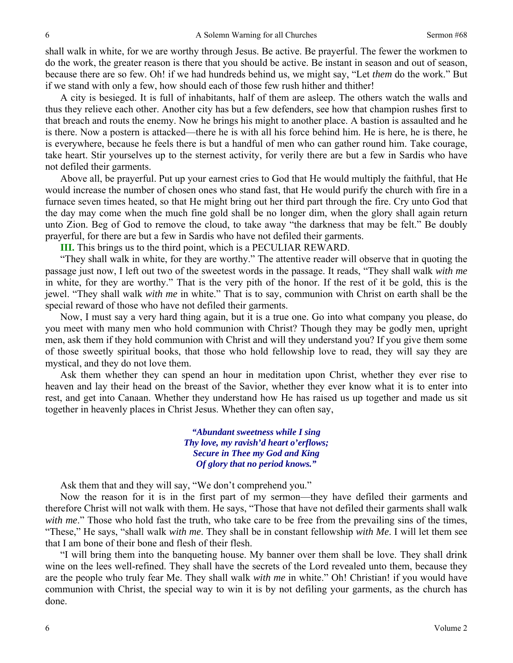shall walk in white, for we are worthy through Jesus. Be active. Be prayerful. The fewer the workmen to do the work, the greater reason is there that you should be active. Be instant in season and out of season, because there are so few. Oh! if we had hundreds behind us, we might say, "Let *them* do the work." But if we stand with only a few, how should each of those few rush hither and thither!

A city is besieged. It is full of inhabitants, half of them are asleep. The others watch the walls and thus they relieve each other. Another city has but a few defenders, see how that champion rushes first to that breach and routs the enemy. Now he brings his might to another place. A bastion is assaulted and he is there. Now a postern is attacked—there he is with all his force behind him. He is here, he is there, he is everywhere, because he feels there is but a handful of men who can gather round him. Take courage, take heart. Stir yourselves up to the sternest activity, for verily there are but a few in Sardis who have not defiled their garments.

Above all, be prayerful. Put up your earnest cries to God that He would multiply the faithful, that He would increase the number of chosen ones who stand fast, that He would purify the church with fire in a furnace seven times heated, so that He might bring out her third part through the fire. Cry unto God that the day may come when the much fine gold shall be no longer dim, when the glory shall again return unto Zion. Beg of God to remove the cloud, to take away "the darkness that may be felt." Be doubly prayerful, for there are but a few in Sardis who have not defiled their garments.

**III.** This brings us to the third point, which is a PECULIAR REWARD.

"They shall walk in white, for they are worthy." The attentive reader will observe that in quoting the passage just now, I left out two of the sweetest words in the passage. It reads, "They shall walk *with me* in white, for they are worthy." That is the very pith of the honor. If the rest of it be gold, this is the jewel. "They shall walk *with me* in white." That is to say, communion with Christ on earth shall be the special reward of those who have not defiled their garments.

Now, I must say a very hard thing again, but it is a true one. Go into what company you please, do you meet with many men who hold communion with Christ? Though they may be godly men, upright men, ask them if they hold communion with Christ and will they understand you? If you give them some of those sweetly spiritual books, that those who hold fellowship love to read, they will say they are mystical, and they do not love them.

Ask them whether they can spend an hour in meditation upon Christ, whether they ever rise to heaven and lay their head on the breast of the Savior, whether they ever know what it is to enter into rest, and get into Canaan. Whether they understand how He has raised us up together and made us sit together in heavenly places in Christ Jesus. Whether they can often say,

> *"Abundant sweetness while I sing Thy love, my ravish'd heart o'erflows; Secure in Thee my God and King Of glory that no period knows."*

Ask them that and they will say, "We don't comprehend you."

Now the reason for it is in the first part of my sermon—they have defiled their garments and therefore Christ will not walk with them. He says, "Those that have not defiled their garments shall walk *with me.*" Those who hold fast the truth, who take care to be free from the prevailing sins of the times, "These," He says, "shall walk *with me*. They shall be in constant fellowship *with Me*. I will let them see that I am bone of their bone and flesh of their flesh.

"I will bring them into the banqueting house. My banner over them shall be love. They shall drink wine on the lees well-refined. They shall have the secrets of the Lord revealed unto them, because they are the people who truly fear Me. They shall walk *with me* in white." Oh! Christian! if you would have communion with Christ, the special way to win it is by not defiling your garments, as the church has done.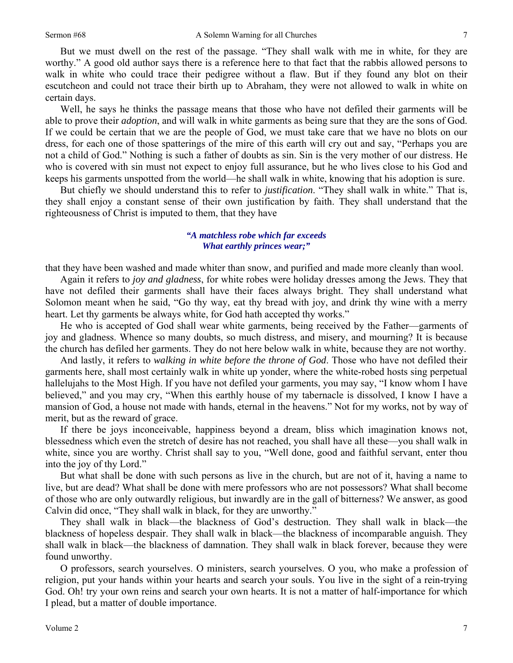But we must dwell on the rest of the passage. "They shall walk with me in white, for they are worthy." A good old author says there is a reference here to that fact that the rabbis allowed persons to walk in white who could trace their pedigree without a flaw. But if they found any blot on their escutcheon and could not trace their birth up to Abraham, they were not allowed to walk in white on certain days.

Well, he says he thinks the passage means that those who have not defiled their garments will be able to prove their *adoption*, and will walk in white garments as being sure that they are the sons of God. If we could be certain that we are the people of God, we must take care that we have no blots on our dress, for each one of those spatterings of the mire of this earth will cry out and say, "Perhaps you are not a child of God." Nothing is such a father of doubts as sin. Sin is the very mother of our distress. He who is covered with sin must not expect to enjoy full assurance, but he who lives close to his God and keeps his garments unspotted from the world—he shall walk in white, knowing that his adoption is sure.

But chiefly we should understand this to refer to *justification*. "They shall walk in white." That is, they shall enjoy a constant sense of their own justification by faith. They shall understand that the righteousness of Christ is imputed to them, that they have

## *"A matchless robe which far exceeds What earthly princes wear;"*

that they have been washed and made whiter than snow, and purified and made more cleanly than wool.

Again it refers to *joy and gladness*, for white robes were holiday dresses among the Jews. They that have not defiled their garments shall have their faces always bright. They shall understand what Solomon meant when he said, "Go thy way, eat thy bread with joy, and drink thy wine with a merry heart. Let thy garments be always white, for God hath accepted thy works."

He who is accepted of God shall wear white garments, being received by the Father—garments of joy and gladness. Whence so many doubts, so much distress, and misery, and mourning? It is because the church has defiled her garments. They do not here below walk in white, because they are not worthy.

And lastly, it refers to *walking in white before the throne of God*. Those who have not defiled their garments here, shall most certainly walk in white up yonder, where the white-robed hosts sing perpetual hallelujahs to the Most High. If you have not defiled your garments, you may say, "I know whom I have believed," and you may cry, "When this earthly house of my tabernacle is dissolved, I know I have a mansion of God, a house not made with hands, eternal in the heavens." Not for my works, not by way of merit, but as the reward of grace.

If there be joys inconceivable, happiness beyond a dream, bliss which imagination knows not, blessedness which even the stretch of desire has not reached, you shall have all these—you shall walk in white, since you are worthy. Christ shall say to you, "Well done, good and faithful servant, enter thou into the joy of thy Lord."

But what shall be done with such persons as live in the church, but are not of it, having a name to live, but are dead? What shall be done with mere professors who are not possessors? What shall become of those who are only outwardly religious, but inwardly are in the gall of bitterness? We answer, as good Calvin did once, "They shall walk in black, for they are unworthy."

They shall walk in black—the blackness of God's destruction. They shall walk in black—the blackness of hopeless despair. They shall walk in black—the blackness of incomparable anguish. They shall walk in black—the blackness of damnation. They shall walk in black forever, because they were found unworthy.

O professors, search yourselves. O ministers, search yourselves. O you, who make a profession of religion, put your hands within your hearts and search your souls. You live in the sight of a rein-trying God. Oh! try your own reins and search your own hearts. It is not a matter of half-importance for which I plead, but a matter of double importance.